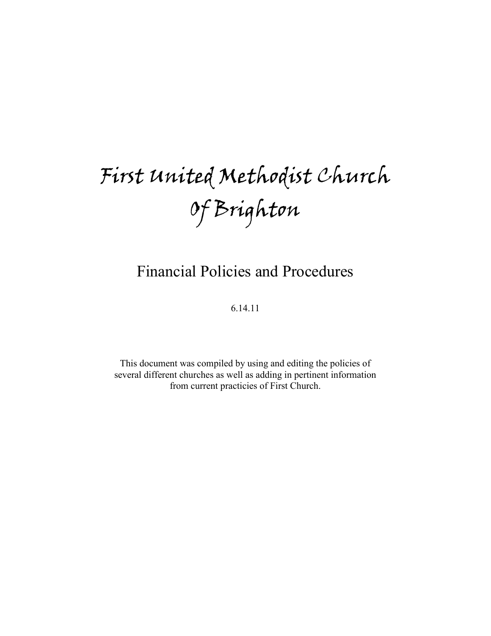# First United Methodist Church Of Brighton

# Financial Policies and Procedures

6.14.11

This document was compiled by using and editing the policies of several different churches as well as adding in pertinent information from current practicies of First Church.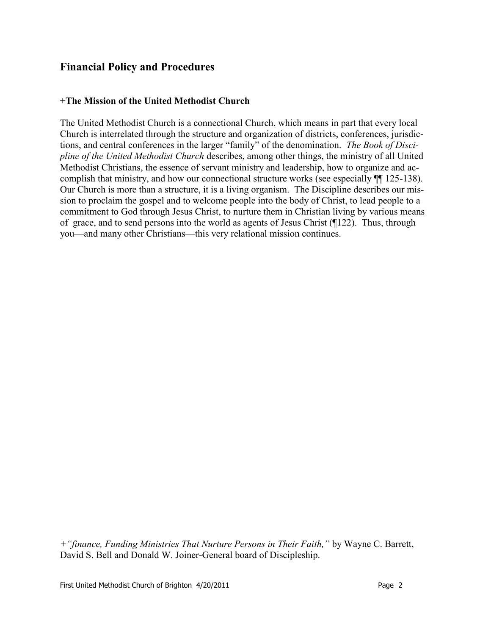# **Financial Policy and Procedures**

#### **+The Mission of the United Methodist Church**

The United Methodist Church is a connectional Church, which means in part that every local Church is interrelated through the structure and organization of districts, conferences, jurisdictions, and central conferences in the larger "family" of the denomination. *The Book of Discipline of the United Methodist Church* describes, among other things, the ministry of all United Methodist Christians, the essence of servant ministry and leadership, how to organize and accomplish that ministry, and how our connectional structure works (see especially ¶¶ 125-138). Our Church is more than a structure, it is a living organism. The Discipline describes our mission to proclaim the gospel and to welcome people into the body of Christ, to lead people to a commitment to God through Jesus Christ, to nurture them in Christian living by various means of grace, and to send persons into the world as agents of Jesus Christ (¶122). Thus, through you—and many other Christians—this very relational mission continues.

*+"finance, Funding Ministries That Nurture Persons in Their Faith,"* by Wayne C. Barrett, David S. Bell and Donald W. Joiner-General board of Discipleship.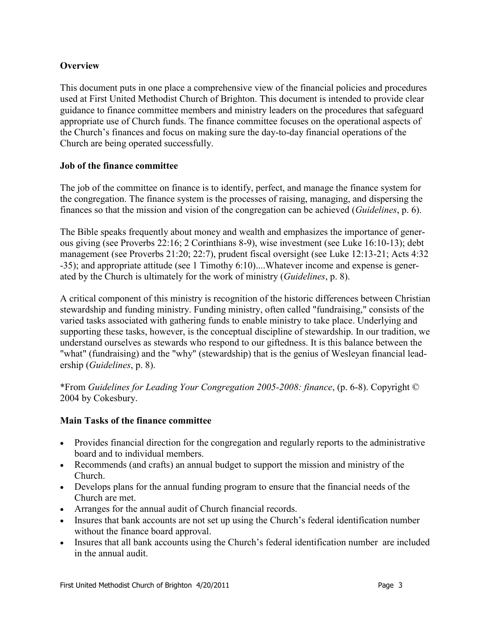# **Overview**

This document puts in one place a comprehensive view of the financial policies and procedures used at First United Methodist Church of Brighton. This document is intended to provide clear guidance to finance committee members and ministry leaders on the procedures that safeguard appropriate use of Church funds. The finance committee focuses on the operational aspects of the Church's finances and focus on making sure the day-to-day financial operations of the Church are being operated successfully.

# **Job of the finance committee**

The job of the committee on finance is to identify, perfect, and manage the finance system for the congregation. The finance system is the processes of raising, managing, and dispersing the finances so that the mission and vision of the congregation can be achieved (*Guidelines*, p. 6).

The Bible speaks frequently about money and wealth and emphasizes the importance of generous giving (see Proverbs 22:16; 2 Corinthians 8-9), wise investment (see Luke 16:10-13); debt management (see Proverbs 21:20; 22:7), prudent fiscal oversight (see Luke 12:13-21; Acts 4:32 -35); and appropriate attitude (see 1 Timothy 6:10)....Whatever income and expense is generated by the Church is ultimately for the work of ministry (*Guidelines*, p. 8).

A critical component of this ministry is recognition of the historic differences between Christian stewardship and funding ministry. Funding ministry, often called "fundraising," consists of the varied tasks associated with gathering funds to enable ministry to take place. Underlying and supporting these tasks, however, is the conceptual discipline of stewardship. In our tradition, we understand ourselves as stewards who respond to our giftedness. It is this balance between the "what" (fundraising) and the "why" (stewardship) that is the genius of Wesleyan financial leadership (*Guidelines*, p. 8).

\*From *Guidelines for Leading Your Congregation 2005-2008: finance*, (p. 6-8). Copyright © 2004 by Cokesbury.

# **Main Tasks of the finance committee**

- Provides financial direction for the congregation and regularly reports to the administrative board and to individual members.
- Recommends (and crafts) an annual budget to support the mission and ministry of the Church.
- Develops plans for the annual funding program to ensure that the financial needs of the Church are met.
- Arranges for the annual audit of Church financial records.
- Insures that bank accounts are not set up using the Church's federal identification number without the finance board approval.
- Insures that all bank accounts using the Church's federal identification number are included in the annual audit.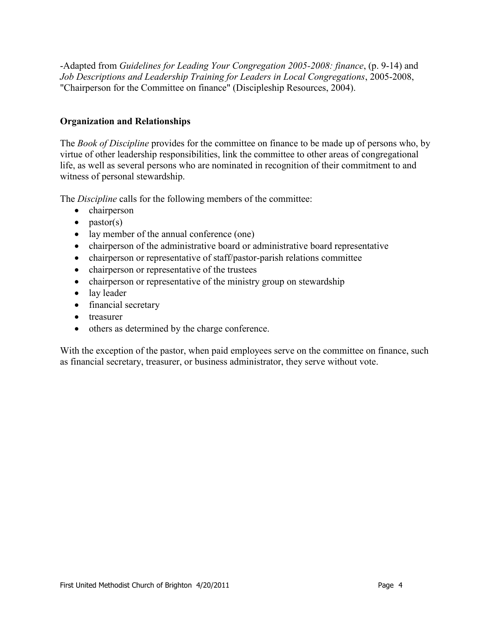-Adapted from *Guidelines for Leading Your Congregation 2005-2008: finance*, (p. 9-14) and *Job Descriptions and Leadership Training for Leaders in Local Congregations*, 2005-2008, "Chairperson for the Committee on finance" (Discipleship Resources, 2004).

#### **Organization and Relationships**

The *Book of Discipline* provides for the committee on finance to be made up of persons who, by virtue of other leadership responsibilities, link the committee to other areas of congregational life, as well as several persons who are nominated in recognition of their commitment to and witness of personal stewardship.

The *Discipline* calls for the following members of the committee:

- chairperson
- $\bullet$  pastor(s)
- lay member of the annual conference (one)
- chairperson of the administrative board or administrative board representative
- chairperson or representative of staff/pastor-parish relations committee
- chairperson or representative of the trustees
- chairperson or representative of the ministry group on stewardship
- lay leader
- financial secretary
- treasurer
- others as determined by the charge conference.

With the exception of the pastor, when paid employees serve on the committee on finance, such as financial secretary, treasurer, or business administrator, they serve without vote.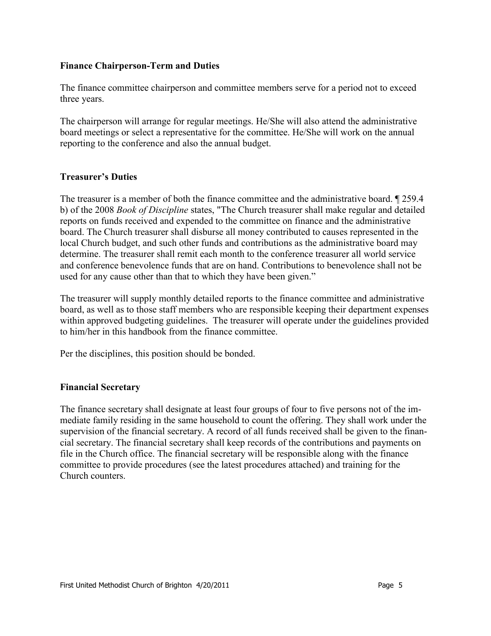#### **Finance Chairperson-Term and Duties**

The finance committee chairperson and committee members serve for a period not to exceed three years.

The chairperson will arrange for regular meetings. He/She will also attend the administrative board meetings or select a representative for the committee. He/She will work on the annual reporting to the conference and also the annual budget.

#### **Treasurer's Duties**

The treasurer is a member of both the finance committee and the administrative board.  $\sqrt{259.4}$ b) of the 2008 *Book of Discipline* states, "The Church treasurer shall make regular and detailed reports on funds received and expended to the committee on finance and the administrative board. The Church treasurer shall disburse all money contributed to causes represented in the local Church budget, and such other funds and contributions as the administrative board may determine. The treasurer shall remit each month to the conference treasurer all world service and conference benevolence funds that are on hand. Contributions to benevolence shall not be used for any cause other than that to which they have been given."

The treasurer will supply monthly detailed reports to the finance committee and administrative board, as well as to those staff members who are responsible keeping their department expenses within approved budgeting guidelines. The treasurer will operate under the guidelines provided to him/her in this handbook from the finance committee.

Per the disciplines, this position should be bonded.

#### **Financial Secretary**

The finance secretary shall designate at least four groups of four to five persons not of the immediate family residing in the same household to count the offering. They shall work under the supervision of the financial secretary. A record of all funds received shall be given to the financial secretary. The financial secretary shall keep records of the contributions and payments on file in the Church office. The financial secretary will be responsible along with the finance committee to provide procedures (see the latest procedures attached) and training for the Church counters.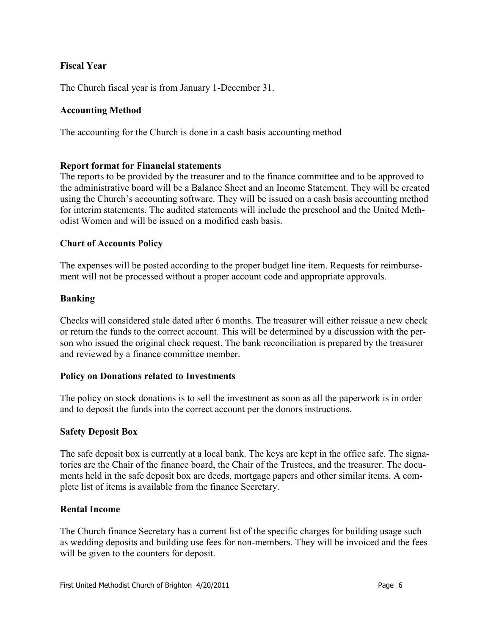# **Fiscal Year**

The Church fiscal year is from January 1-December 31.

# **Accounting Method**

The accounting for the Church is done in a cash basis accounting method

# **Report format for Financial statements**

The reports to be provided by the treasurer and to the finance committee and to be approved to the administrative board will be a Balance Sheet and an Income Statement. They will be created using the Church's accounting software. They will be issued on a cash basis accounting method for interim statements. The audited statements will include the preschool and the United Methodist Women and will be issued on a modified cash basis.

# **Chart of Accounts Policy**

The expenses will be posted according to the proper budget line item. Requests for reimbursement will not be processed without a proper account code and appropriate approvals.

# **Banking**

Checks will considered stale dated after 6 months. The treasurer will either reissue a new check or return the funds to the correct account. This will be determined by a discussion with the person who issued the original check request. The bank reconciliation is prepared by the treasurer and reviewed by a finance committee member.

# **Policy on Donations related to Investments**

The policy on stock donations is to sell the investment as soon as all the paperwork is in order and to deposit the funds into the correct account per the donors instructions.

# **Safety Deposit Box**

The safe deposit box is currently at a local bank. The keys are kept in the office safe. The signatories are the Chair of the finance board, the Chair of the Trustees, and the treasurer. The documents held in the safe deposit box are deeds, mortgage papers and other similar items. A complete list of items is available from the finance Secretary.

# **Rental Income**

The Church finance Secretary has a current list of the specific charges for building usage such as wedding deposits and building use fees for non-members. They will be invoiced and the fees will be given to the counters for deposit.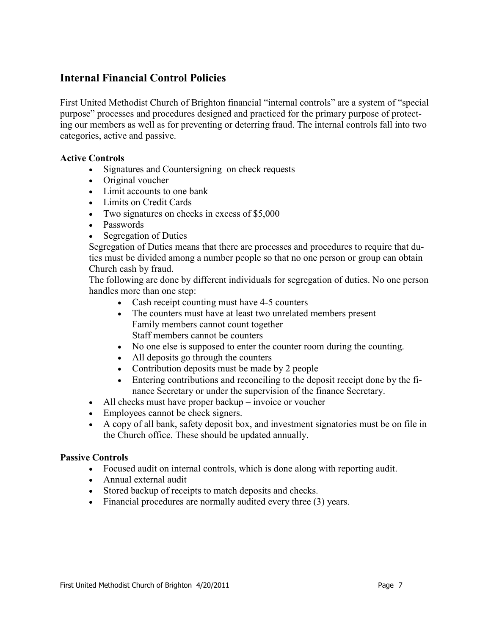# **Internal Financial Control Policies**

First United Methodist Church of Brighton financial "internal controls" are a system of "special purpose" processes and procedures designed and practiced for the primary purpose of protecting our members as well as for preventing or deterring fraud. The internal controls fall into two categories, active and passive.

#### **Active Controls**

- Signatures and Countersigning on check requests
- Original voucher
- Limit accounts to one bank
- Limits on Credit Cards
- Two signatures on checks in excess of \$5,000
- Passwords
- Segregation of Duties

Segregation of Duties means that there are processes and procedures to require that duties must be divided among a number people so that no one person or group can obtain Church cash by fraud.

The following are done by different individuals for segregation of duties. No one person handles more than one step:

- Cash receipt counting must have 4-5 counters
- The counters must have at least two unrelated members present Family members cannot count together Staff members cannot be counters
- No one else is supposed to enter the counter room during the counting.
- All deposits go through the counters
- Contribution deposits must be made by 2 people
- Entering contributions and reconciling to the deposit receipt done by the finance Secretary or under the supervision of the finance Secretary.
- All checks must have proper backup invoice or voucher
- Employees cannot be check signers.
- A copy of all bank, safety deposit box, and investment signatories must be on file in the Church office. These should be updated annually.

#### **Passive Controls**

- Focused audit on internal controls, which is done along with reporting audit.
- Annual external audit
- Stored backup of receipts to match deposits and checks.
- Financial procedures are normally audited every three (3) years.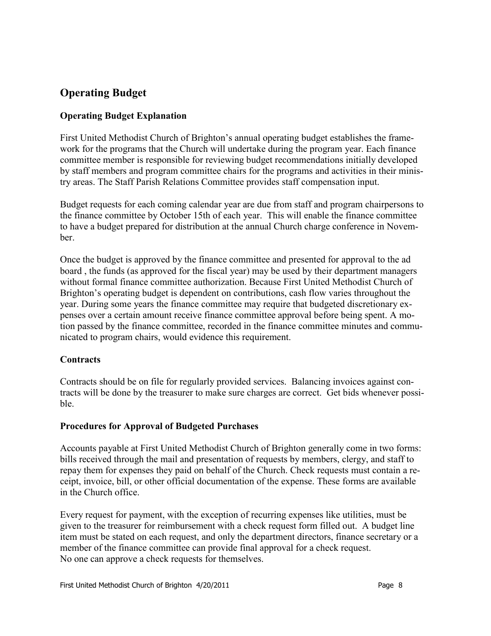# **Operating Budget**

# **Operating Budget Explanation**

First United Methodist Church of Brighton's annual operating budget establishes the framework for the programs that the Church will undertake during the program year. Each finance committee member is responsible for reviewing budget recommendations initially developed by staff members and program committee chairs for the programs and activities in their ministry areas. The Staff Parish Relations Committee provides staff compensation input.

Budget requests for each coming calendar year are due from staff and program chairpersons to the finance committee by October 15th of each year. This will enable the finance committee to have a budget prepared for distribution at the annual Church charge conference in November.

Once the budget is approved by the finance committee and presented for approval to the ad board , the funds (as approved for the fiscal year) may be used by their department managers without formal finance committee authorization. Because First United Methodist Church of Brighton's operating budget is dependent on contributions, cash flow varies throughout the year. During some years the finance committee may require that budgeted discretionary expenses over a certain amount receive finance committee approval before being spent. A motion passed by the finance committee, recorded in the finance committee minutes and communicated to program chairs, would evidence this requirement.

# **Contracts**

Contracts should be on file for regularly provided services. Balancing invoices against contracts will be done by the treasurer to make sure charges are correct. Get bids whenever possible.

# **Procedures for Approval of Budgeted Purchases**

Accounts payable at First United Methodist Church of Brighton generally come in two forms: bills received through the mail and presentation of requests by members, clergy, and staff to repay them for expenses they paid on behalf of the Church. Check requests must contain a receipt, invoice, bill, or other official documentation of the expense. These forms are available in the Church office.

Every request for payment, with the exception of recurring expenses like utilities, must be given to the treasurer for reimbursement with a check request form filled out. A budget line item must be stated on each request, and only the department directors, finance secretary or a member of the finance committee can provide final approval for a check request. No one can approve a check requests for themselves.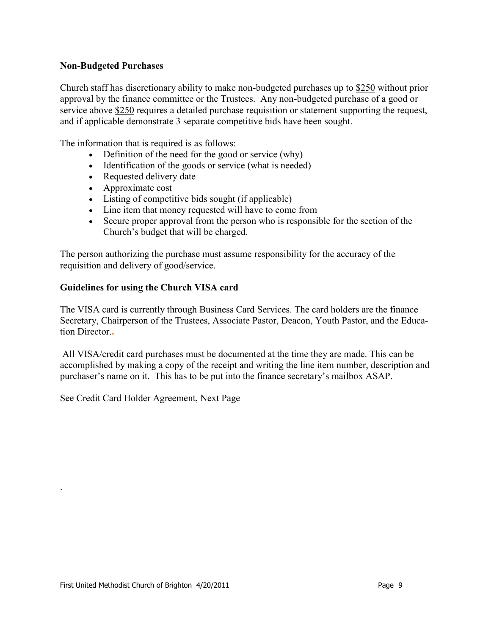#### **Non-Budgeted Purchases**

Church staff has discretionary ability to make non-budgeted purchases up to \$250 without prior approval by the finance committee or the Trustees. Any non-budgeted purchase of a good or service above \$250 requires a detailed purchase requisition or statement supporting the request, and if applicable demonstrate 3 separate competitive bids have been sought.

The information that is required is as follows:

- Definition of the need for the good or service (why)
- Identification of the goods or service (what is needed)
- Requested delivery date
- Approximate cost
- Listing of competitive bids sought (if applicable)
- Line item that money requested will have to come from
- Secure proper approval from the person who is responsible for the section of the Church's budget that will be charged.

The person authorizing the purchase must assume responsibility for the accuracy of the requisition and delivery of good/service.

#### **Guidelines for using the Church VISA card**

The VISA card is currently through Business Card Services. The card holders are the finance Secretary, Chairperson of the Trustees, Associate Pastor, Deacon, Youth Pastor, and the Education Director.**.**

All VISA/credit card purchases must be documented at the time they are made. This can be accomplished by making a copy of the receipt and writing the line item number, description and purchaser's name on it. This has to be put into the finance secretary's mailbox ASAP.

See Credit Card Holder Agreement, Next Page

.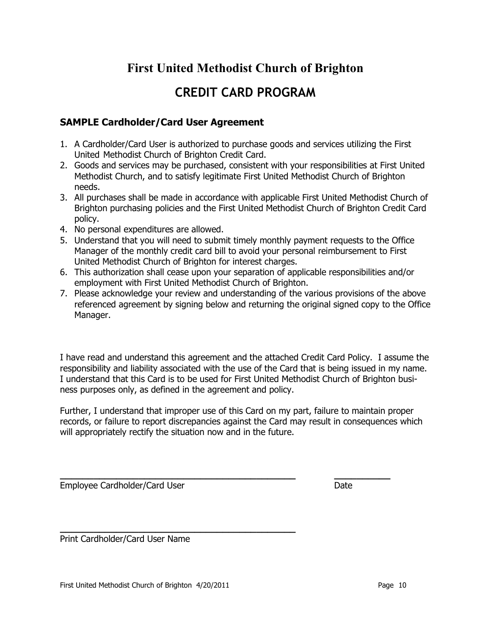# **First United Methodist Church of Brighton**

# **CREDIT CARD PROGRAM**

# **SAMPLE Cardholder/Card User Agreement**

- 1. A Cardholder/Card User is authorized to purchase goods and services utilizing the First United Methodist Church of Brighton Credit Card.
- 2. Goods and services may be purchased, consistent with your responsibilities at First United Methodist Church, and to satisfy legitimate First United Methodist Church of Brighton needs.
- 3. All purchases shall be made in accordance with applicable First United Methodist Church of Brighton purchasing policies and the First United Methodist Church of Brighton Credit Card policy.
- 4. No personal expenditures are allowed.
- 5. Understand that you will need to submit timely monthly payment requests to the Office Manager of the monthly credit card bill to avoid your personal reimbursement to First United Methodist Church of Brighton for interest charges.
- 6. This authorization shall cease upon your separation of applicable responsibilities and/or employment with First United Methodist Church of Brighton.
- 7. Please acknowledge your review and understanding of the various provisions of the above referenced agreement by signing below and returning the original signed copy to the Office Manager.

I have read and understand this agreement and the attached Credit Card Policy. I assume the responsibility and liability associated with the use of the Card that is being issued in my name. I understand that this Card is to be used for First United Methodist Church of Brighton business purposes only, as defined in the agreement and policy.

Further, I understand that improper use of this Card on my part, failure to maintain proper records, or failure to report discrepancies against the Card may result in consequences which will appropriately rectify the situation now and in the future.

**\_\_\_\_\_\_\_\_\_\_\_\_\_\_\_\_\_\_\_\_\_\_\_\_\_\_\_\_\_\_\_\_\_\_\_\_\_\_\_\_\_\_ \_\_\_\_\_\_\_\_\_\_**

Employee Cardholder/Card User Date Date

Print Cardholder/Card User Name

**\_\_\_\_\_\_\_\_\_\_\_\_\_\_\_\_\_\_\_\_\_\_\_\_\_\_\_\_\_\_\_\_\_\_\_\_\_\_\_\_\_\_**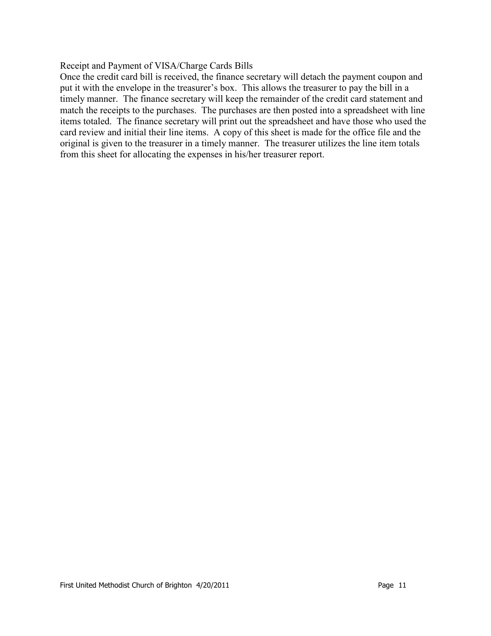#### Receipt and Payment of VISA/Charge Cards Bills

Once the credit card bill is received, the finance secretary will detach the payment coupon and put it with the envelope in the treasurer's box. This allows the treasurer to pay the bill in a timely manner. The finance secretary will keep the remainder of the credit card statement and match the receipts to the purchases. The purchases are then posted into a spreadsheet with line items totaled. The finance secretary will print out the spreadsheet and have those who used the card review and initial their line items. A copy of this sheet is made for the office file and the original is given to the treasurer in a timely manner. The treasurer utilizes the line item totals from this sheet for allocating the expenses in his/her treasurer report.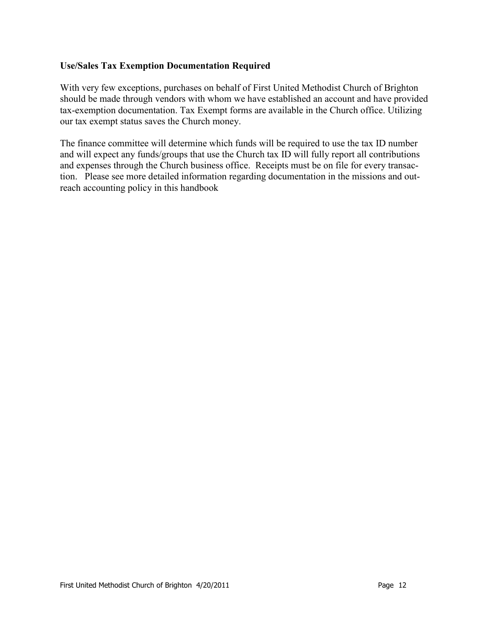# **Use/Sales Tax Exemption Documentation Required**

With very few exceptions, purchases on behalf of First United Methodist Church of Brighton should be made through vendors with whom we have established an account and have provided tax-exemption documentation. Tax Exempt forms are available in the Church office. Utilizing our tax exempt status saves the Church money.

The finance committee will determine which funds will be required to use the tax ID number and will expect any funds/groups that use the Church tax ID will fully report all contributions and expenses through the Church business office. Receipts must be on file for every transaction. Please see more detailed information regarding documentation in the missions and outreach accounting policy in this handbook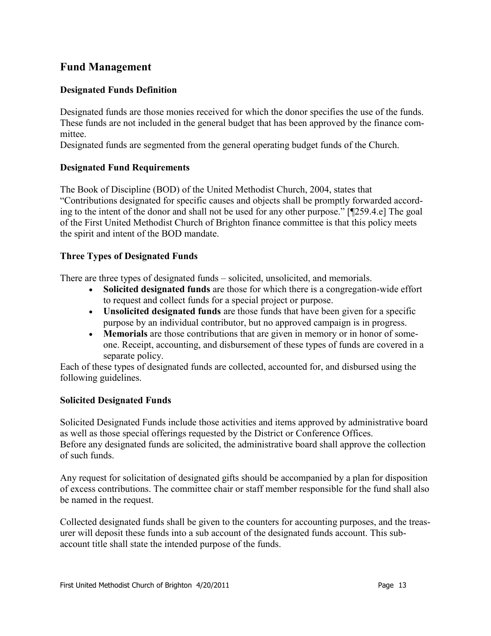# **Fund Management**

# **Designated Funds Definition**

Designated funds are those monies received for which the donor specifies the use of the funds. These funds are not included in the general budget that has been approved by the finance committee.

Designated funds are segmented from the general operating budget funds of the Church.

#### **Designated Fund Requirements**

The Book of Discipline (BOD) of the United Methodist Church, 2004, states that ―Contributions designated for specific causes and objects shall be promptly forwarded according to the intent of the donor and shall not be used for any other purpose." [¶259.4.e] The goal of the First United Methodist Church of Brighton finance committee is that this policy meets the spirit and intent of the BOD mandate.

#### **Three Types of Designated Funds**

There are three types of designated funds – solicited, unsolicited, and memorials.

- **Solicited designated funds** are those for which there is a congregation-wide effort to request and collect funds for a special project or purpose.
- **Unsolicited designated funds** are those funds that have been given for a specific purpose by an individual contributor, but no approved campaign is in progress.
- **Memorials** are those contributions that are given in memory or in honor of someone. Receipt, accounting, and disbursement of these types of funds are covered in a separate policy.

Each of these types of designated funds are collected, accounted for, and disbursed using the following guidelines.

#### **Solicited Designated Funds**

Solicited Designated Funds include those activities and items approved by administrative board as well as those special offerings requested by the District or Conference Offices. Before any designated funds are solicited, the administrative board shall approve the collection of such funds.

Any request for solicitation of designated gifts should be accompanied by a plan for disposition of excess contributions. The committee chair or staff member responsible for the fund shall also be named in the request.

Collected designated funds shall be given to the counters for accounting purposes, and the treasurer will deposit these funds into a sub account of the designated funds account. This subaccount title shall state the intended purpose of the funds.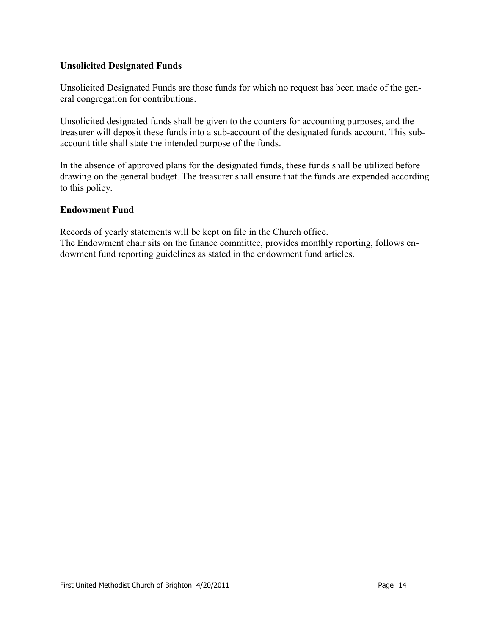#### **Unsolicited Designated Funds**

Unsolicited Designated Funds are those funds for which no request has been made of the general congregation for contributions.

Unsolicited designated funds shall be given to the counters for accounting purposes, and the treasurer will deposit these funds into a sub-account of the designated funds account. This subaccount title shall state the intended purpose of the funds.

In the absence of approved plans for the designated funds, these funds shall be utilized before drawing on the general budget. The treasurer shall ensure that the funds are expended according to this policy.

#### **Endowment Fund**

Records of yearly statements will be kept on file in the Church office. The Endowment chair sits on the finance committee, provides monthly reporting, follows endowment fund reporting guidelines as stated in the endowment fund articles.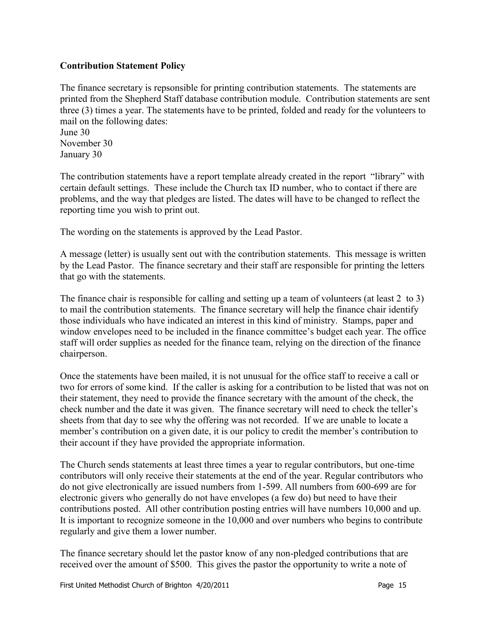#### **Contribution Statement Policy**

The finance secretary is repsonsible for printing contribution statements. The statements are printed from the Shepherd Staff database contribution module. Contribution statements are sent three (3) times a year. The statements have to be printed, folded and ready for the volunteers to mail on the following dates:

June 30 November 30 January 30

The contribution statements have a report template already created in the report "library" with certain default settings. These include the Church tax ID number, who to contact if there are problems, and the way that pledges are listed. The dates will have to be changed to reflect the reporting time you wish to print out.

The wording on the statements is approved by the Lead Pastor.

A message (letter) is usually sent out with the contribution statements. This message is written by the Lead Pastor. The finance secretary and their staff are responsible for printing the letters that go with the statements.

The finance chair is responsible for calling and setting up a team of volunteers (at least 2 to 3) to mail the contribution statements. The finance secretary will help the finance chair identify those individuals who have indicated an interest in this kind of ministry. Stamps, paper and window envelopes need to be included in the finance committee's budget each year. The office staff will order supplies as needed for the finance team, relying on the direction of the finance chairperson.

Once the statements have been mailed, it is not unusual for the office staff to receive a call or two for errors of some kind. If the caller is asking for a contribution to be listed that was not on their statement, they need to provide the finance secretary with the amount of the check, the check number and the date it was given. The finance secretary will need to check the teller's sheets from that day to see why the offering was not recorded. If we are unable to locate a member's contribution on a given date, it is our policy to credit the member's contribution to their account if they have provided the appropriate information.

The Church sends statements at least three times a year to regular contributors, but one-time contributors will only receive their statements at the end of the year. Regular contributors who do not give electronically are issued numbers from 1-599. All numbers from 600-699 are for electronic givers who generally do not have envelopes (a few do) but need to have their contributions posted. All other contribution posting entries will have numbers 10,000 and up. It is important to recognize someone in the 10,000 and over numbers who begins to contribute regularly and give them a lower number.

The finance secretary should let the pastor know of any non-pledged contributions that are received over the amount of \$500. This gives the pastor the opportunity to write a note of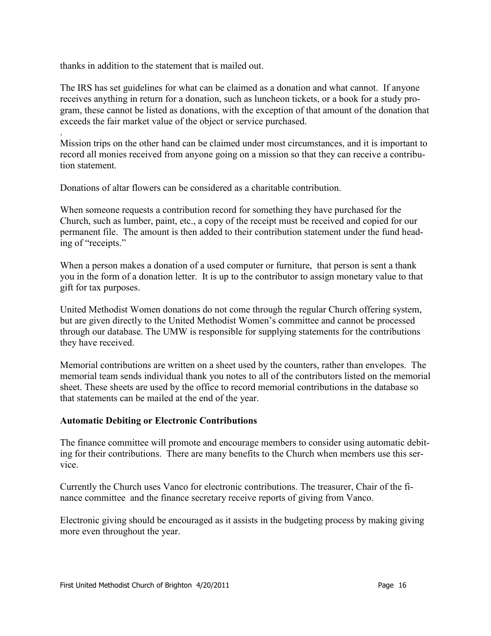thanks in addition to the statement that is mailed out.

.

The IRS has set guidelines for what can be claimed as a donation and what cannot. If anyone receives anything in return for a donation, such as luncheon tickets, or a book for a study program, these cannot be listed as donations, with the exception of that amount of the donation that exceeds the fair market value of the object or service purchased.

Mission trips on the other hand can be claimed under most circumstances, and it is important to record all monies received from anyone going on a mission so that they can receive a contribution statement.

Donations of altar flowers can be considered as a charitable contribution.

When someone requests a contribution record for something they have purchased for the Church, such as lumber, paint, etc., a copy of the receipt must be received and copied for our permanent file. The amount is then added to their contribution statement under the fund heading of "receipts."

When a person makes a donation of a used computer or furniture, that person is sent a thank you in the form of a donation letter. It is up to the contributor to assign monetary value to that gift for tax purposes.

United Methodist Women donations do not come through the regular Church offering system, but are given directly to the United Methodist Women's committee and cannot be processed through our database. The UMW is responsible for supplying statements for the contributions they have received.

Memorial contributions are written on a sheet used by the counters, rather than envelopes. The memorial team sends individual thank you notes to all of the contributors listed on the memorial sheet. These sheets are used by the office to record memorial contributions in the database so that statements can be mailed at the end of the year.

#### **Automatic Debiting or Electronic Contributions**

The finance committee will promote and encourage members to consider using automatic debiting for their contributions. There are many benefits to the Church when members use this service.

Currently the Church uses Vanco for electronic contributions. The treasurer, Chair of the finance committee and the finance secretary receive reports of giving from Vanco.

Electronic giving should be encouraged as it assists in the budgeting process by making giving more even throughout the year.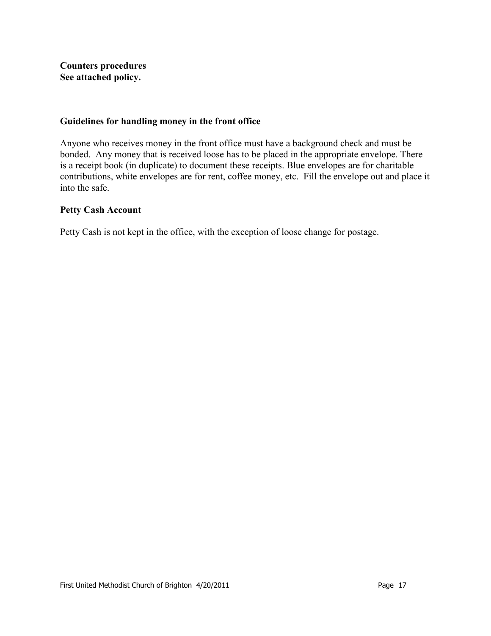**Counters procedures See attached policy.**

#### **Guidelines for handling money in the front office**

Anyone who receives money in the front office must have a background check and must be bonded. Any money that is received loose has to be placed in the appropriate envelope. There is a receipt book (in duplicate) to document these receipts. Blue envelopes are for charitable contributions, white envelopes are for rent, coffee money, etc. Fill the envelope out and place it into the safe.

#### **Petty Cash Account**

Petty Cash is not kept in the office, with the exception of loose change for postage.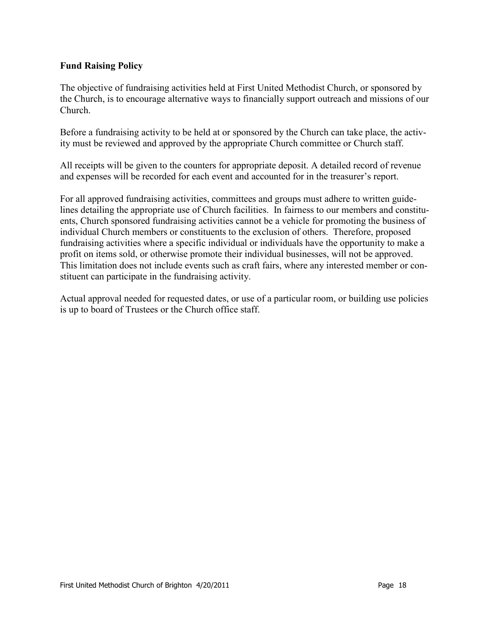# **Fund Raising Policy**

The objective of fundraising activities held at First United Methodist Church, or sponsored by the Church, is to encourage alternative ways to financially support outreach and missions of our Church.

Before a fundraising activity to be held at or sponsored by the Church can take place, the activity must be reviewed and approved by the appropriate Church committee or Church staff.

All receipts will be given to the counters for appropriate deposit. A detailed record of revenue and expenses will be recorded for each event and accounted for in the treasurer's report.

For all approved fundraising activities, committees and groups must adhere to written guidelines detailing the appropriate use of Church facilities. In fairness to our members and constituents, Church sponsored fundraising activities cannot be a vehicle for promoting the business of individual Church members or constituents to the exclusion of others. Therefore, proposed fundraising activities where a specific individual or individuals have the opportunity to make a profit on items sold, or otherwise promote their individual businesses, will not be approved. This limitation does not include events such as craft fairs, where any interested member or constituent can participate in the fundraising activity.

Actual approval needed for requested dates, or use of a particular room, or building use policies is up to board of Trustees or the Church office staff.